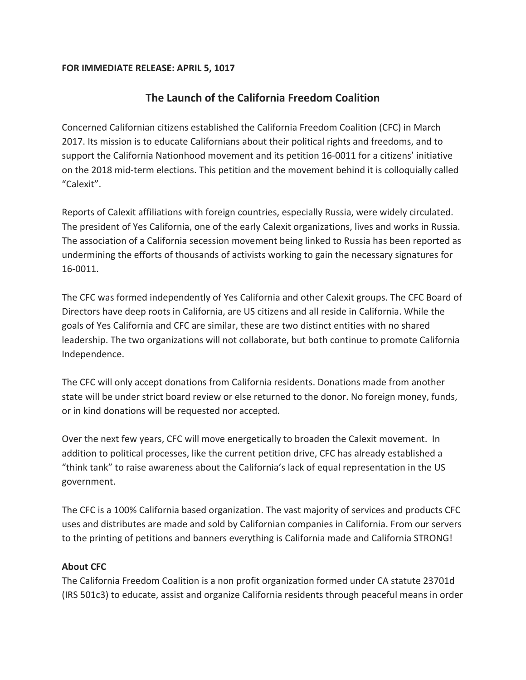## **FOR IMMEDIATE RELEASE: APRIL 5, 1017**

## **The Launch of the California Freedom Coalition**

Concerned Californian citizens established the California Freedom Coalition (CFC) in March 2017. Its mission is to educate Californians about their political rights and freedoms, and to support the California Nationhood movement and its petition 16-0011 for a citizens' initiative on the 2018 mid-term elections. This petition and the movement behind it is colloquially called "Calexit".

Reports of Calexit affiliations with foreign countries, especially Russia, were widely circulated. The president of Yes California, one of the early Calexit organizations, lives and works in Russia. The association of a California secession movement being linked to Russia has been reported as undermining the efforts of thousands of activists working to gain the necessary signatures for 16-0011.

The CFC was formed independently of Yes California and other Calexit groups. The CFC Board of Directors have deep roots in California, are US citizens and all reside in California. While the goals of Yes California and CFC are similar, these are two distinct entities with no shared leadership. The two organizations will not collaborate, but both continue to promote California Independence.

The CFC will only accept donations from California residents. Donations made from another state will be under strict board review or else returned to the donor. No foreign money, funds, or in kind donations will be requested nor accepted.

Over the next few years, CFC will move energetically to broaden the Calexit movement. In addition to political processes, like the current petition drive, CFC has already established a "think tank" to raise awareness about the California's lack of equal representation in the US government.

The CFC is a 100% California based organization. The vast majority of services and products CFC uses and distributes are made and sold by Californian companies in California. From our servers to the printing of petitions and banners everything is California made and California STRONG!

## **About CFC**

The California Freedom Coalition is a non profit organization formed under CA statute 23701d (IRS 501c3) to educate, assist and organize California residents through peaceful means in order